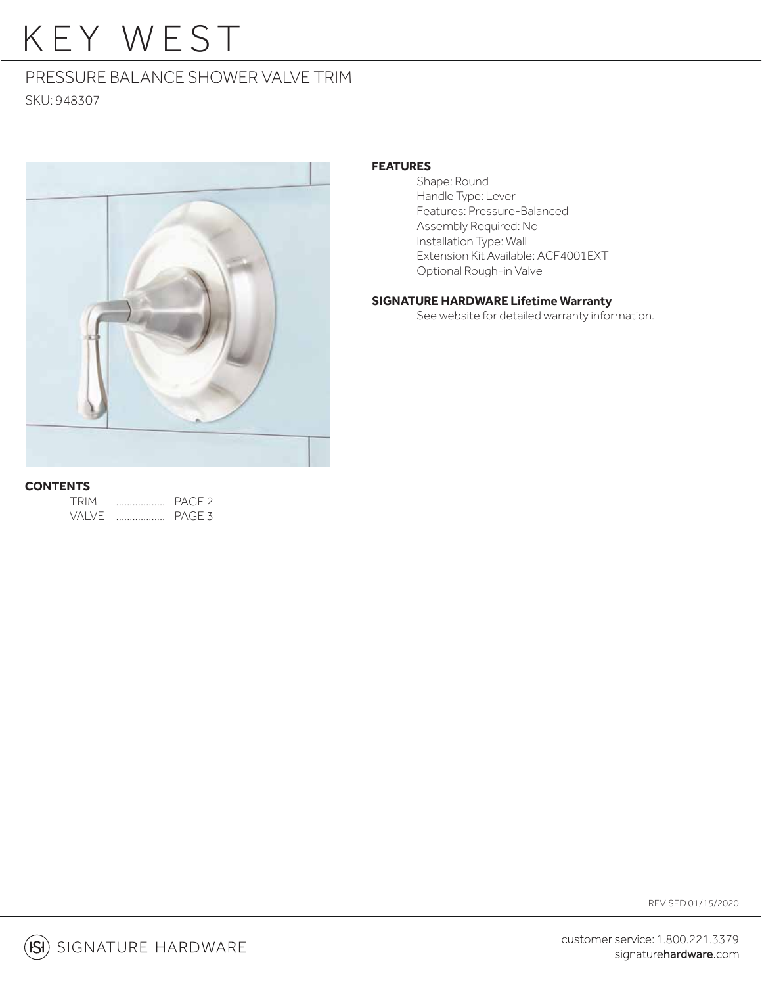# KEY WEST

### PRESSURE BALANCE SHOWER VALVE TRIM

SKU: 948307



#### **FEATURES**

 Shape: Round Handle Type: Lever Features: Pressure-Balanced Assembly Required: No Installation Type: Wall Extension Kit Available: ACF4001EXT Optional Rough-in Valve

#### **SIGNATURE HARDWARE Lifetime Warranty**

See website for detailed warranty information.

#### **CONTENTS**

| TRIM   | PAGF <sub>2</sub> |
|--------|-------------------|
| VAI VF | PAGE <sub>3</sub> |

REVISED 01/15/2020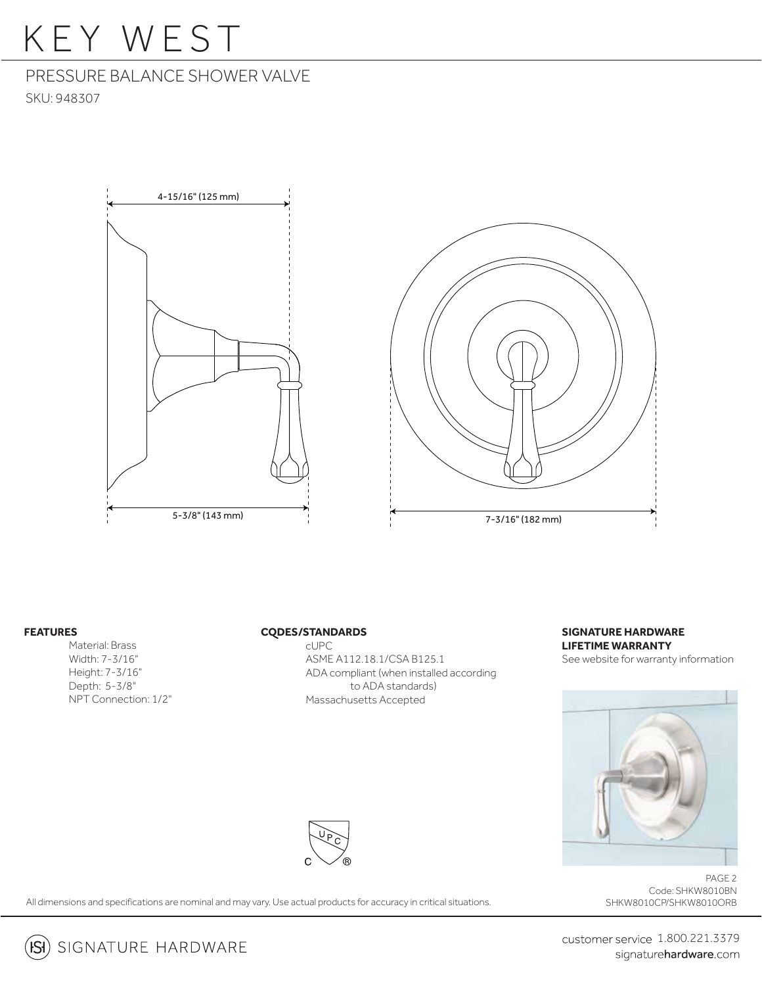### KEY WEST

### PRESSURE BALANCE SHOWER VALVE

SKU: 948307





#### **FEATURES**

 Material: Brass Width: 7-3/16" Height: 7-3/16" Depth: 5-3/8" NPT Connection: 1/2"

#### **CODES/STANDARDS**

 cUPC ASME A112.18.1/CSA B125.1 ADA compliant (when installed according to ADA standards) Massachusetts Accepted

#### **SIGNATURE HARDWARE LIFETIME WARRANTY** See website for warranty information



PAGE 2 Code: SHKW8010BN SHKW8010CP/SHKW8010ORB



All dimensions and specifications are nominal and may vary. Use actual products for accuracy in critical situations.



customer service 1.800.221.3379 signaturehardware.com